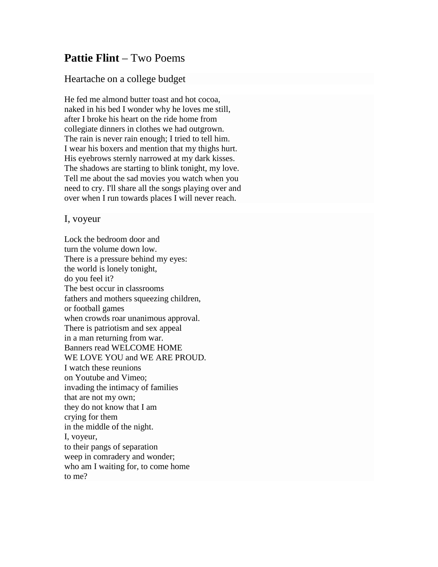## **Pattie Flint** – Two Poems

## Heartache on a college budget

He fed me almond butter toast and hot cocoa, naked in his bed I wonder why he loves me still, after I broke his heart on the ride home from collegiate dinners in clothes we had outgrown. The rain is never rain enough; I tried to tell him. I wear his boxers and mention that my thighs hurt. His eyebrows sternly narrowed at my dark kisses. The shadows are starting to blink tonight, my love. Tell me about the sad movies you watch when you need to cry. I'll share all the songs playing over and over when I run towards places I will never reach.

## I, voyeur

Lock the bedroom door and turn the volume down low. There is a pressure behind my eyes: the world is lonely tonight, do you feel it? The best occur in classrooms fathers and mothers squeezing children, or football games when crowds roar unanimous approval. There is patriotism and sex appeal in a man returning from war. Banners read WELCOME HOME WE LOVE YOU and WE ARE PROUD. I watch these reunions on Youtube and Vimeo; invading the intimacy of families that are not my own; they do not know that I am crying for them in the middle of the night. I, voyeur, to their pangs of separation weep in comradery and wonder; who am I waiting for, to come home to me?